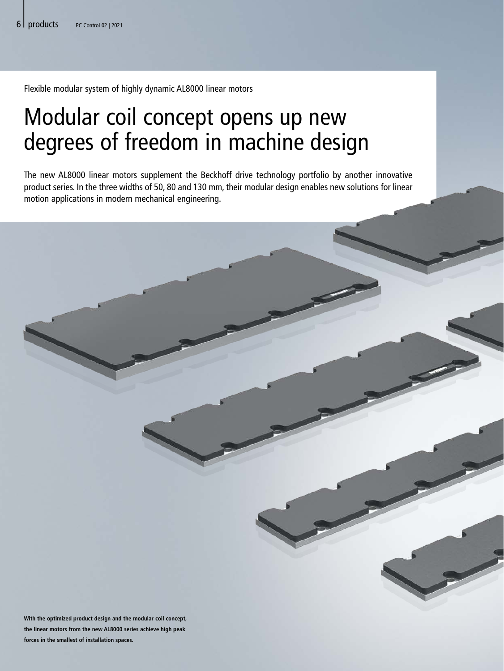Flexible modular system of highly dynamic AL8000 linear motors

## Modular coil concept opens up new degrees of freedom in machine design

The new AL8000 linear motors supplement the Beckhoff drive technology portfolio by another innovative product series. In the three widths of 50, 80 and 130 mm, their modular design enables new solutions for linear motion applications in modern mechanical engineering.

**With the optimized product design and the modular coil concept, the linear motors from the new AL8000 series achieve high peak forces in the smallest of installation spaces.**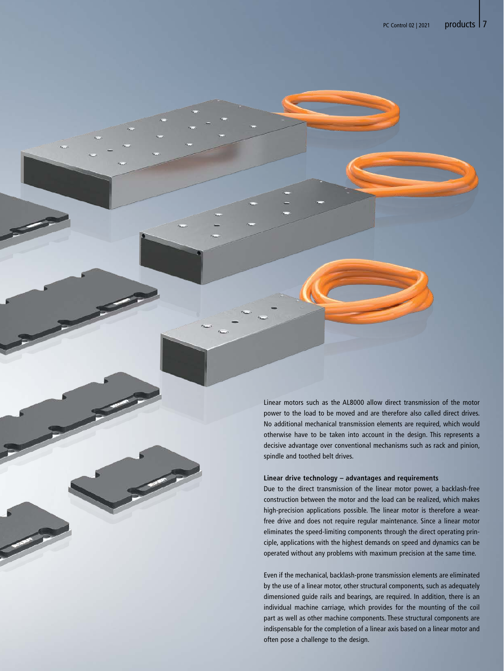Linear motors such as the AL8000 allow direct transmission of the motor power to the load to be moved and are therefore also called direct drives. No additional mechanical transmission elements are required, which would otherwise have to be taken into account in the design. This represents a decisive advantage over conventional mechanisms such as rack and pinion, spindle and toothed belt drives.

## **Linear drive technology – advantages and requirements**

Due to the direct transmission of the linear motor power, a backlash-free construction between the motor and the load can be realized, which makes high-precision applications possible. The linear motor is therefore a wearfree drive and does not require regular maintenance. Since a linear motor eliminates the speed-limiting components through the direct operating principle, applications with the highest demands on speed and dynamics can be operated without any problems with maximum precision at the same time.

Even if the mechanical, backlash-prone transmission elements are eliminated by the use of a linear motor, other structural components, such as adequately dimensioned guide rails and bearings, are required. In addition, there is an individual machine carriage, which provides for the mounting of the coil part as well as other machine components. These structural components are indispensable for the completion of a linear axis based on a linear motor and often pose a challenge to the design.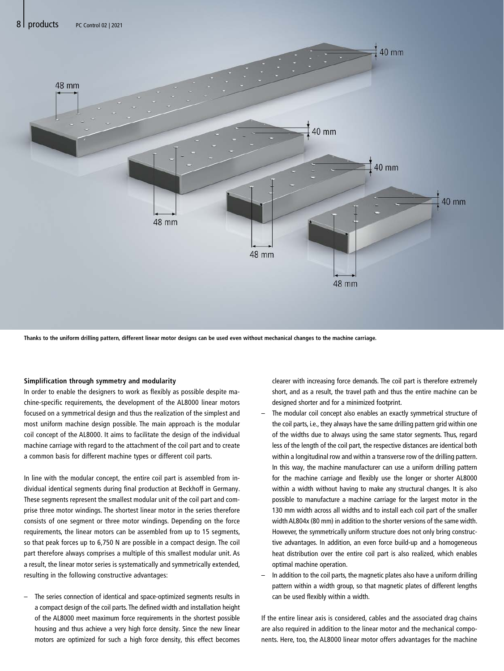

**Thanks to the uniform drilling pattern, different linear motor designs can be used even without mechanical changes to the machine carriage.**

## **Simplification through symmetry and modularity**

In order to enable the designers to work as flexibly as possible despite machine-specific requirements, the development of the AL8000 linear motors focused on a symmetrical design and thus the realization of the simplest and most uniform machine design possible. The main approach is the modular coil concept of the AL8000. It aims to facilitate the design of the individual machine carriage with regard to the attachment of the coil part and to create a common basis for different machine types or different coil parts.

In line with the modular concept, the entire coil part is assembled from individual identical segments during final production at Beckhoff in Germany. These segments represent the smallest modular unit of the coil part and comprise three motor windings. The shortest linear motor in the series therefore consists of one segment or three motor windings. Depending on the force requirements, the linear motors can be assembled from up to 15 segments, so that peak forces up to 6,750 N are possible in a compact design. The coil part therefore always comprises a multiple of this smallest modular unit. As a result, the linear motor series is systematically and symmetrically extended, resulting in the following constructive advantages:

The series connection of identical and space-optimized segments results in a compact design of the coil parts. The defined width and installation height of the AL8000 meet maximum force requirements in the shortest possible housing and thus achieve a very high force density. Since the new linear motors are optimized for such a high force density, this effect becomes

clearer with increasing force demands. The coil part is therefore extremely short, and as a result, the travel path and thus the entire machine can be designed shorter and for a minimized footprint.

- The modular coil concept also enables an exactly symmetrical structure of the coil parts, i.e., they always have the same drilling pattern grid within one of the widths due to always using the same stator segments. Thus, regard less of the length of the coil part, the respective distances are identical both within a longitudinal row and within a transverse row of the drilling pattern. In this way, the machine manufacturer can use a uniform drilling pattern for the machine carriage and flexibly use the longer or shorter AL8000 within a width without having to make any structural changes. It is also possible to manufacture a machine carriage for the largest motor in the 130 mm width across all widths and to install each coil part of the smaller width AL804x (80 mm) in addition to the shorter versions of the same width. However, the symmetrically uniform structure does not only bring constructive advantages. In addition, an even force build-up and a homogeneous heat distribution over the entire coil part is also realized, which enables optimal machine operation.
- In addition to the coil parts, the magnetic plates also have a uniform drilling pattern within a width group, so that magnetic plates of different lengths can be used flexibly within a width.

If the entire linear axis is considered, cables and the associated drag chains are also required in addition to the linear motor and the mechanical components. Here, too, the AL8000 linear motor offers advantages for the machine